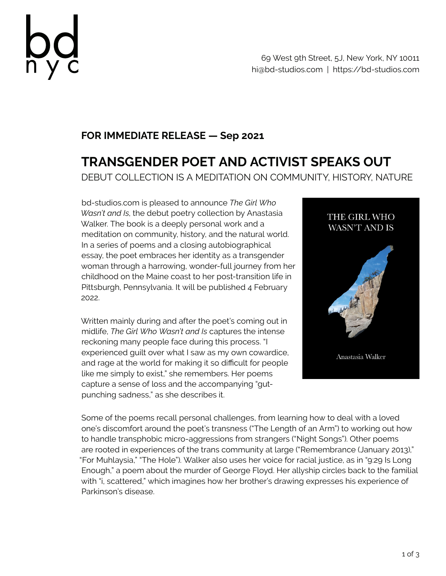

69 West 9th Street, 5J, New York, NY 10011 hi@bd-studios.com | https://bd-studios.com

## **FOR IMMEDIATE RELEASE — Sep 2021**

## **TRANSGENDER POET AND ACTIVIST SPEAKS OUT**

DEBUT COLLECTION IS A MEDITATION ON COMMUNITY, HISTORY, NATURE

bd-studios.com is pleased to announce *The Girl Who Wasn't and Is*, the debut poetry collection by Anastasia Walker. The book is a deeply personal work and a meditation on community, history, and the natural world. In a series of poems and a closing autobiographical essay, the poet embraces her identity as a transgender woman through a harrowing, wonder-full journey from her childhood on the Maine coast to her post-transition life in Pittsburgh, Pennsylvania. It will be published 4 February 2022.

Written mainly during and after the poet's coming out in midlife, *The Girl Who Wasn't and Is* captures the intense reckoning many people face during this process. "I experienced guilt over what I saw as my own cowardice, and rage at the world for making it so difficult for people like me simply to exist," she remembers. Her poems capture a sense of loss and the accompanying "gutpunching sadness," as she describes it.



Some of the poems recall personal challenges, from learning how to deal with a loved one's discomfort around the poet's transness ("The Length of an Arm") to working out how to handle transphobic micro-aggressions from strangers ("Night Songs"). Other poems are rooted in experiences of the trans community at large ("Remembrance (January 2013)," "For Muhlaysia," "The Hole"). Walker also uses her voice for racial justice, as in "9:29 Is Long Enough," a poem about the murder of George Floyd. Her allyship circles back to the familial with "i, scattered," which imagines how her brother's drawing expresses his experience of Parkinson's disease.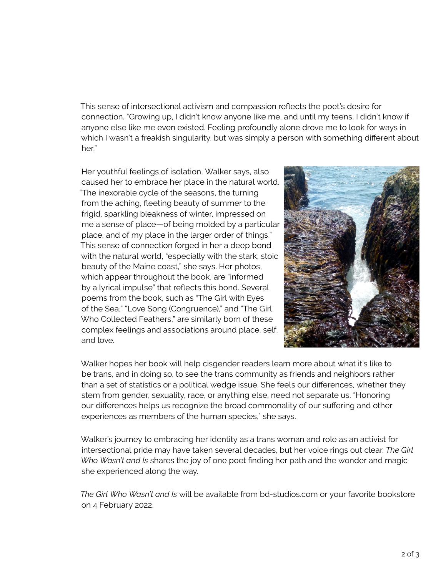This sense of intersectional activism and compassion reflects the poet's desire for connection. "Growing up, I didn't know anyone like me, and until my teens, I didn't know if anyone else like me even existed. Feeling profoundly alone drove me to look for ways in which I wasn't a freakish singularity, but was simply a person with something different about her"

Her youthful feelings of isolation, Walker says, also caused her to embrace her place in the natural world. "The inexorable cycle of the seasons, the turning from the aching, fleeting beauty of summer to the frigid, sparkling bleakness of winter, impressed on me a sense of place—of being molded by a particular place, and of my place in the larger order of things." This sense of connection forged in her a deep bond with the natural world, "especially with the stark, stoic beauty of the Maine coast," she says. Her photos, which appear throughout the book, are "informed by a lyrical impulse" that reflects this bond. Several poems from the book, such as "The Girl with Eyes of the Sea," "Love Song (Congruence)," and "The Girl Who Collected Feathers," are similarly born of these complex feelings and associations around place, self, and love.



Walker hopes her book will help cisgender readers learn more about what it's like to be trans, and in doing so, to see the trans community as friends and neighbors rather than a set of statistics or a political wedge issue. She feels our differences, whether they stem from gender, sexuality, race, or anything else, need not separate us. "Honoring our differences helps us recognize the broad commonality of our suffering and other experiences as members of the human species," she says.

Walker's journey to embracing her identity as a trans woman and role as an activist for intersectional pride may have taken several decades, but her voice rings out clear. *The Girl Who Wasn't and Is* shares the joy of one poet finding her path and the wonder and magic she experienced along the way.

*The Girl Who Wasn't and Is* will be available from bd-studios.com or your favorite bookstore on 4 February 2022.